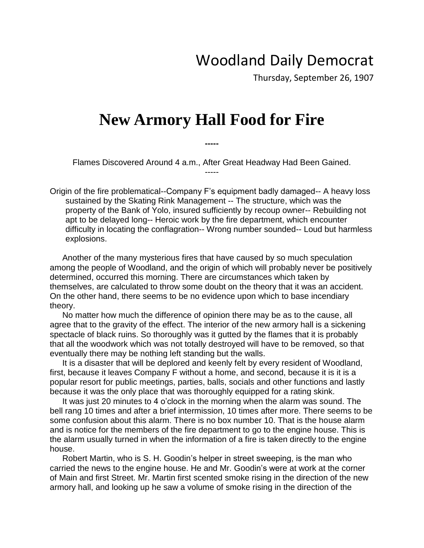## Woodland Daily Democrat

Thursday, September 26, 1907

## **New Armory Hall Food for Fire**

Flames Discovered Around 4 a.m., After Great Headway Had Been Gained. -----

**-----**

Origin of the fire problematical--Company F's equipment badly damaged-- A heavy loss sustained by the Skating Rink Management -- The structure, which was the property of the Bank of Yolo, insured sufficiently by recoup owner-- Rebuilding not apt to be delayed long-- Heroic work by the fire department, which encounter difficulty in locating the conflagration-- Wrong number sounded-- Loud but harmless explosions.

Another of the many mysterious fires that have caused by so much speculation among the people of Woodland, and the origin of which will probably never be positively determined, occurred this morning. There are circumstances which taken by themselves, are calculated to throw some doubt on the theory that it was an accident. On the other hand, there seems to be no evidence upon which to base incendiary theory.

No matter how much the difference of opinion there may be as to the cause, all agree that to the gravity of the effect. The interior of the new armory hall is a sickening spectacle of black ruins. So thoroughly was it gutted by the flames that it is probably that all the woodwork which was not totally destroyed will have to be removed, so that eventually there may be nothing left standing but the walls.

It is a disaster that will be deplored and keenly felt by every resident of Woodland, first, because it leaves Company F without a home, and second, because it is it is a popular resort for public meetings, parties, balls, socials and other functions and lastly because it was the only place that was thoroughly equipped for a rating skink.

It was just 20 minutes to 4 o'clock in the morning when the alarm was sound. The bell rang 10 times and after a brief intermission, 10 times after more. There seems to be some confusion about this alarm. There is no box number 10. That is the house alarm and is notice for the members of the fire department to go to the engine house. This is the alarm usually turned in when the information of a fire is taken directly to the engine house.

Robert Martin, who is S. H. Goodin's helper in street sweeping, is the man who carried the news to the engine house. He and Mr. Goodin's were at work at the corner of Main and first Street. Mr. Martin first scented smoke rising in the direction of the new armory hall, and looking up he saw a volume of smoke rising in the direction of the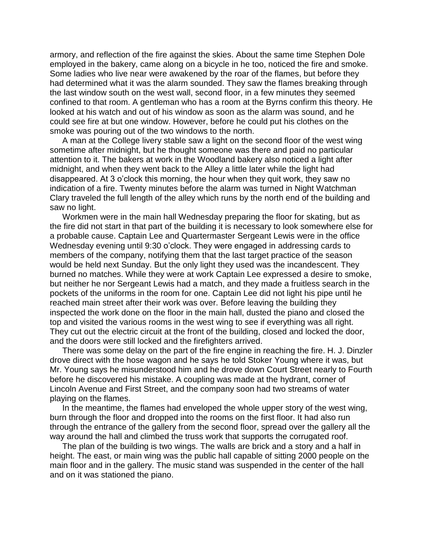armory, and reflection of the fire against the skies. About the same time Stephen Dole employed in the bakery, came along on a bicycle in he too, noticed the fire and smoke. Some ladies who live near were awakened by the roar of the flames, but before they had determined what it was the alarm sounded. They saw the flames breaking through the last window south on the west wall, second floor, in a few minutes they seemed confined to that room. A gentleman who has a room at the Byrns confirm this theory. He looked at his watch and out of his window as soon as the alarm was sound, and he could see fire at but one window. However, before he could put his clothes on the smoke was pouring out of the two windows to the north.

A man at the College livery stable saw a light on the second floor of the west wing sometime after midnight, but he thought someone was there and paid no particular attention to it. The bakers at work in the Woodland bakery also noticed a light after midnight, and when they went back to the Alley a little later while the light had disappeared. At 3 o'clock this morning, the hour when they quit work, they saw no indication of a fire. Twenty minutes before the alarm was turned in Night Watchman Clary traveled the full length of the alley which runs by the north end of the building and saw no light.

Workmen were in the main hall Wednesday preparing the floor for skating, but as the fire did not start in that part of the building it is necessary to look somewhere else for a probable cause. Captain Lee and Quartermaster Sergeant Lewis were in the office Wednesday evening until 9:30 o'clock. They were engaged in addressing cards to members of the company, notifying them that the last target practice of the season would be held next Sunday. But the only light they used was the incandescent. They burned no matches. While they were at work Captain Lee expressed a desire to smoke, but neither he nor Sergeant Lewis had a match, and they made a fruitless search in the pockets of the uniforms in the room for one. Captain Lee did not light his pipe until he reached main street after their work was over. Before leaving the building they inspected the work done on the floor in the main hall, dusted the piano and closed the top and visited the various rooms in the west wing to see if everything was all right. They cut out the electric circuit at the front of the building, closed and locked the door, and the doors were still locked and the firefighters arrived.

There was some delay on the part of the fire engine in reaching the fire. H. J. Dinzler drove direct with the hose wagon and he says he told Stoker Young where it was, but Mr. Young says he misunderstood him and he drove down Court Street nearly to Fourth before he discovered his mistake. A coupling was made at the hydrant, corner of Lincoln Avenue and First Street, and the company soon had two streams of water playing on the flames.

In the meantime, the flames had enveloped the whole upper story of the west wing, burn through the floor and dropped into the rooms on the first floor. It had also run through the entrance of the gallery from the second floor, spread over the gallery all the way around the hall and climbed the truss work that supports the corrugated roof.

The plan of the building is two wings. The walls are brick and a story and a half in height. The east, or main wing was the public hall capable of sitting 2000 people on the main floor and in the gallery. The music stand was suspended in the center of the hall and on it was stationed the piano.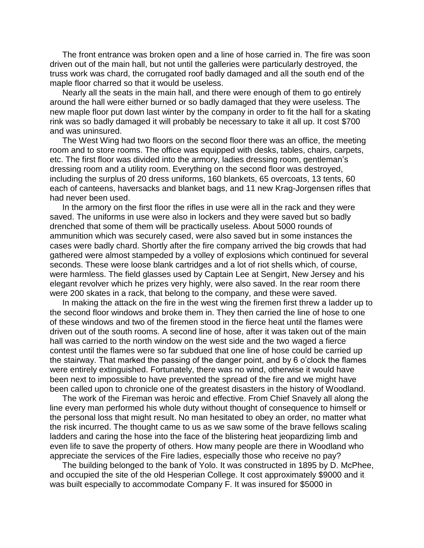The front entrance was broken open and a line of hose carried in. The fire was soon driven out of the main hall, but not until the galleries were particularly destroyed, the truss work was chard, the corrugated roof badly damaged and all the south end of the maple floor charred so that it would be useless.

Nearly all the seats in the main hall, and there were enough of them to go entirely around the hall were either burned or so badly damaged that they were useless. The new maple floor put down last winter by the company in order to fit the hall for a skating rink was so badly damaged it will probably be necessary to take it all up. It cost \$700 and was uninsured.

The West Wing had two floors on the second floor there was an office, the meeting room and to store rooms. The office was equipped with desks, tables, chairs, carpets, etc. The first floor was divided into the armory, ladies dressing room, gentleman's dressing room and a utility room. Everything on the second floor was destroyed, including the surplus of 20 dress uniforms, 160 blankets, 65 overcoats, 13 tents, 60 each of canteens, haversacks and blanket bags, and 11 new Krag-Jorgensen rifles that had never been used.

In the armory on the first floor the rifles in use were all in the rack and they were saved. The uniforms in use were also in lockers and they were saved but so badly drenched that some of them will be practically useless. About 5000 rounds of ammunition which was securely cased, were also saved but in some instances the cases were badly chard. Shortly after the fire company arrived the big crowds that had gathered were almost stampeded by a volley of explosions which continued for several seconds. These were loose blank cartridges and a lot of riot shells which, of course, were harmless. The field glasses used by Captain Lee at Sengirt, New Jersey and his elegant revolver which he prizes very highly, were also saved. In the rear room there were 200 skates in a rack, that belong to the company, and these were saved.

In making the attack on the fire in the west wing the firemen first threw a ladder up to the second floor windows and broke them in. They then carried the line of hose to one of these windows and two of the firemen stood in the fierce heat until the flames were driven out of the south rooms. A second line of hose, after it was taken out of the main hall was carried to the north window on the west side and the two waged a fierce contest until the flames were so far subdued that one line of hose could be carried up the stairway. That marked the passing of the danger point, and by 6 o'clock the flames were entirely extinguished. Fortunately, there was no wind, otherwise it would have been next to impossible to have prevented the spread of the fire and we might have been called upon to chronicle one of the greatest disasters in the history of Woodland.

The work of the Fireman was heroic and effective. From Chief Snavely all along the line every man performed his whole duty without thought of consequence to himself or the personal loss that might result. No man hesitated to obey an order, no matter what the risk incurred. The thought came to us as we saw some of the brave fellows scaling ladders and caring the hose into the face of the blistering heat jeopardizing limb and even life to save the property of others. How many people are there in Woodland who appreciate the services of the Fire ladies, especially those who receive no pay?

The building belonged to the bank of Yolo. It was constructed in 1895 by D. McPhee, and occupied the site of the old Hesperian College. It cost approximately \$9000 and it was built especially to accommodate Company F. It was insured for \$5000 in